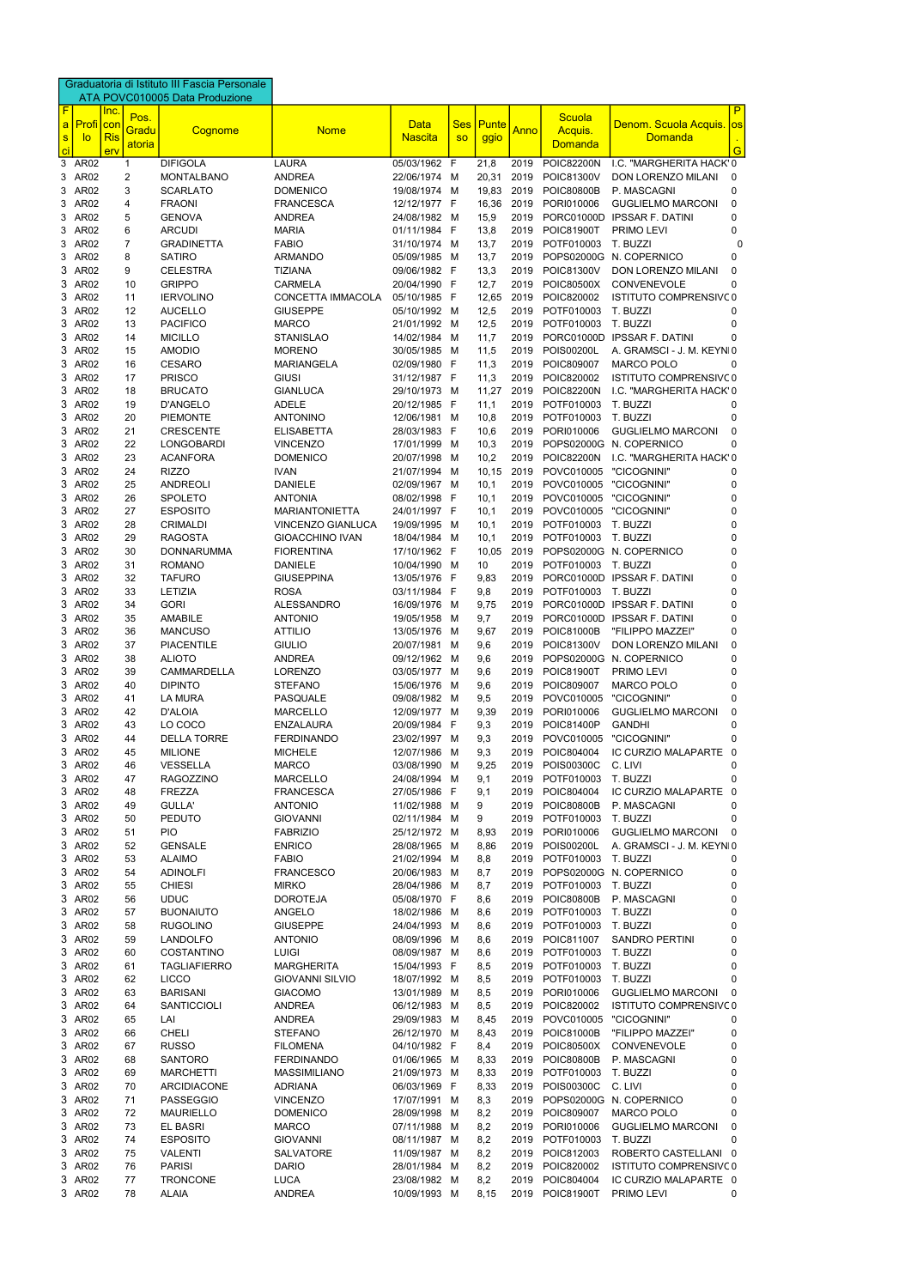|                |                          |            |                | Graduatoria di Istituto III Fascia Personale |                                      |                              |            |               |              |                                 |                                                  |
|----------------|--------------------------|------------|----------------|----------------------------------------------|--------------------------------------|------------------------------|------------|---------------|--------------|---------------------------------|--------------------------------------------------|
| $\overline{F}$ |                          | Inc.       |                | ATA POVC010005 Data Produzione               |                                      |                              |            |               |              |                                 | P                                                |
| $\mathbf{a}$   | Profi                    | con        | Pos.<br>Gradu  | Cognome                                      | <b>Nome</b>                          | <b>Data</b>                  | <b>Ses</b> | Punte         | Anno         | Scuola<br>Acquis.               | Denom. Scuola Acquis.<br><b>OS</b>               |
|                | $\mathbf{s}$<br>lo       | <b>Ris</b> | atoria         |                                              |                                      | <b>Nascita</b>               | <b>SO</b>  | ggio          |              | <b>Domanda</b>                  | <b>Domanda</b>                                   |
| ci<br>3        | AR <sub>02</sub>         | erv        | 1              | <b>DIFIGOLA</b>                              | <b>LAURA</b>                         | 05/03/1962 F                 |            | 21,8          | 2019         | <b>POIC82200N</b>               | G<br>I.C. "MARGHERITA HACK' 0                    |
| 3              | AR02                     |            | 2              | <b>MONTALBANO</b>                            | <b>ANDREA</b>                        | 22/06/1974 M                 |            | 20,31         | 2019         | POIC81300V                      | DON LORENZO MILANI<br>0                          |
| 3              | AR02                     |            | 3              | <b>SCARLATO</b>                              | <b>DOMENICO</b>                      | 19/08/1974 M                 |            | 19,83         | 2019         | <b>POIC80800B</b>               | P. MASCAGNI<br>0                                 |
|                | 3 AR02                   |            | 4              | <b>FRAONI</b>                                | <b>FRANCESCA</b>                     | 12/12/1977 F                 |            | 16,36         | 2019         | PORI010006                      | <b>GUGLIELMO MARCONI</b><br>0                    |
|                | 3 AR02                   |            | 5              | <b>GENOVA</b>                                | ANDREA                               | 24/08/1982 M                 |            | 15,9          | 2019         | PORC01000D                      | <b>IPSSAR F. DATINI</b><br>0                     |
|                | 3 AR02                   |            | 6              | <b>ARCUDI</b>                                | <b>MARIA</b>                         | 01/11/1984 F                 |            | 13,8          | 2019         | POIC81900T                      | PRIMO LEVI<br>0                                  |
|                | 3 AR02                   |            | $\overline{7}$ | <b>GRADINETTA</b>                            | <b>FABIO</b>                         | 31/10/1974 M                 |            | 13,7          | 2019         | POTF010003                      | T. BUZZI<br>0                                    |
|                | 3 AR02                   |            | 8              | <b>SATIRO</b>                                | <b>ARMANDO</b>                       | 05/09/1985 M                 |            | 13,7          | 2019         |                                 | POPS02000G N. COPERNICO<br>0                     |
|                | 3 AR02                   |            | 9              | <b>CELESTRA</b>                              | <b>TIZIANA</b>                       | 09/06/1982 F                 |            | 13,3          | 2019         | POIC81300V                      | DON LORENZO MILANI<br>0                          |
| 3.             | AR02                     |            | 10             | <b>GRIPPO</b>                                | <b>CARMELA</b>                       | 20/04/1990 F                 |            | 12,7          | 2019         | POIC80500X                      | <b>CONVENEVOLE</b><br>0                          |
| 3.<br>3.       | AR02<br>AR <sub>02</sub> |            | 11<br>12       | <b>IERVOLINO</b><br><b>AUCELLO</b>           | CONCETTA IMMACOLA<br><b>GIUSEPPE</b> | 05/10/1985 F<br>05/10/1992 M |            | 12,65<br>12,5 | 2019<br>2019 | POIC820002<br>POTF010003        | ISTITUTO COMPRENSIVC0<br>T. BUZZI<br>0           |
| 3.             | AR <sub>02</sub>         |            | 13             | <b>PACIFICO</b>                              | <b>MARCO</b>                         | 21/01/1992 M                 |            | 12,5          | 2019         | POTF010003                      | T. BUZZI<br>0                                    |
| 3.             | AR02                     |            | 14             | <b>MICILLO</b>                               | <b>STANISLAO</b>                     | 14/02/1984 M                 |            | 11,7          | 2019         |                                 | PORC01000D IPSSAR F. DATINI<br>0                 |
| 3.             | AR02                     |            | 15             | <b>AMODIO</b>                                | <b>MORENO</b>                        | 30/05/1985 M                 |            | 11,5          | 2019         | POIS00200L                      | A. GRAMSCI - J. M. KEYNI0                        |
| 3              | AR <sub>02</sub>         |            | 16             | <b>CESARO</b>                                | <b>MARIANGELA</b>                    | 02/09/1980 F                 |            | 11,3          | 2019         | POIC809007                      | <b>MARCO POLO</b><br>0                           |
| 3              | AR <sub>02</sub>         |            | 17             | <b>PRISCO</b>                                | <b>GIUSI</b>                         | 31/12/1987 F                 |            | 11,3          | 2019         | POIC820002                      | ISTITUTO COMPRENSIVC0                            |
| 3              | AR <sub>02</sub>         |            | 18             | <b>BRUCATO</b>                               | <b>GIANLUCA</b>                      | 29/10/1973 M                 |            | 11,27         | 2019         | <b>POIC82200N</b>               | I.C. "MARGHERITA HACK' 0                         |
| 3              | AR <sub>02</sub>         |            | 19             | D'ANGELO                                     | <b>ADELE</b>                         | 20/12/1985 F                 |            | 11,1          | 2019         | POTF010003                      | T. BUZZI<br>0                                    |
| 3.             | AR02                     |            | 20             | <b>PIEMONTE</b>                              | <b>ANTONINO</b>                      | 12/06/1981 M                 |            | 10,8          | 2019         | POTF010003                      | T. BUZZI<br>0                                    |
| 3.             | AR02                     |            | 21             | <b>CRESCENTE</b>                             | <b>ELISABETTA</b>                    | 28/03/1983 F                 |            | 10,6          | 2019         | PORI010006                      | <b>GUGLIELMO MARCONI</b><br>0                    |
|                | 3 AR02                   |            | 22             | <b>LONGOBARDI</b>                            | <b>VINCENZO</b>                      | 17/01/1999 M                 |            | 10,3          | 2019         |                                 | POPS02000G N. COPERNICO<br>0                     |
|                | 3 AR02                   |            | 23             | <b>ACANFORA</b>                              | <b>DOMENICO</b>                      | 20/07/1998 M                 |            | 10,2          | 2019         | <b>POIC82200N</b>               | I.C. "MARGHERITA HACK' 0                         |
|                | 3 AR02                   |            | 24             | <b>RIZZO</b>                                 | <b>IVAN</b>                          | 21/07/1994 M                 |            | 10, 15        | 2019         | POVC010005                      | "CICOGNINI"<br>0                                 |
| 3.<br>3        | AR02<br>AR02             |            | 25<br>26       | <b>ANDREOLI</b><br><b>SPOLETO</b>            | <b>DANIELE</b><br><b>ANTONIA</b>     | 02/09/1967 M<br>08/02/1998 F |            | 10,1<br>10,1  | 2019<br>2019 | POVC010005<br>POVC010005        | "CICOGNINI"<br>0<br>"CICOGNINI"<br>0             |
| 3              | AR <sub>02</sub>         |            | 27             | <b>ESPOSITO</b>                              | <b>MARIANTONIETTA</b>                | 24/01/1997 F                 |            | 10,1          | 2019         | POVC010005                      | "CICOGNINI"<br>0                                 |
| 3              | AR <sub>02</sub>         |            | 28             | <b>CRIMALDI</b>                              | VINCENZO GIANLUCA                    | 19/09/1995                   | - M        | 10,1          | 2019         | POTF010003                      | T. BUZZI<br>0                                    |
| 3              | AR <sub>02</sub>         |            | 29             | <b>RAGOSTA</b>                               | <b>GIOACCHINO IVAN</b>               | 18/04/1984 M                 |            | 10,1          | 2019         | POTF010003                      | T. BUZZI<br>0                                    |
| 3.             | AR <sub>02</sub>         |            | 30             | <b>DONNARUMMA</b>                            | <b>FIORENTINA</b>                    | 17/10/1962 F                 |            | 10,05         | 2019         |                                 | POPS02000G N. COPERNICO<br>0                     |
|                | 3 AR02                   |            | 31             | <b>ROMANO</b>                                | <b>DANIELE</b>                       | 10/04/1990 M                 |            | 10            |              | 2019 POTF010003 T. BUZZI        | 0                                                |
|                | 3 AR02                   |            | 32             | <b>TAFURO</b>                                | <b>GIUSEPPINA</b>                    | 13/05/1976 F                 |            | 9,83          | 2019         |                                 | PORC01000D IPSSAR F. DATINI<br>0                 |
|                | 3 AR02                   |            | 33             | LETIZIA                                      | <b>ROSA</b>                          | 03/11/1984 F                 |            | 9,8           | 2019         | POTF010003                      | T. BUZZI<br>0                                    |
|                | 3 AR02                   |            | 34             | <b>GORI</b>                                  | <b>ALESSANDRO</b>                    | 16/09/1976 M                 |            | 9,75          | 2019         |                                 | PORC01000D IPSSAR F. DATINI<br>0                 |
| 3              | AR02                     |            | 35             | <b>AMABILE</b>                               | <b>ANTONIO</b>                       | 19/05/1958 M                 |            | 9,7           | 2019         |                                 | PORC01000D IPSSAR F. DATINI<br>0                 |
| 3.             | AR02                     |            | 36             | <b>MANCUSO</b>                               | <b>ATTILIO</b>                       | 13/05/1976 M                 |            | 9,67          | 2019         | POIC81000B                      | "FILIPPO MAZZEI"<br>0                            |
|                | 3 AR02                   |            | 37             | <b>PIACENTILE</b>                            | <b>GIULIO</b>                        | 20/07/1981 M                 |            | 9,6           | 2019         | POIC81300V                      | DON LORENZO MILANI<br>$\Omega$                   |
|                | 3 AR02                   |            | 38             | <b>ALIOTO</b>                                | <b>ANDREA</b>                        | 09/12/1962 M                 |            | 9,6           | 2019         |                                 | POPS02000G N. COPERNICO<br>0                     |
|                | 3 AR02                   |            | 39             | CAMMARDELLA                                  | <b>LORENZO</b>                       | 03/05/1977 M                 |            | 9,6           | 2019         | <b>POIC81900T</b>               | PRIMO LEVI<br>0                                  |
|                | 3 AR02                   |            | 40             | <b>DIPINTO</b>                               | <b>STEFANO</b>                       | 15/06/1976 M                 |            | 9,6           | 2019         | POIC809007                      | <b>MARCO POLO</b><br>0                           |
|                | 3 AR02                   |            | 41             | <b>LA MURA</b>                               | PASQUALE                             | 09/08/1982 M                 |            | 9,5           | 2019         | POVC010005<br>PORI010006        | "CICOGNINI"<br>0<br>0                            |
| 3.             | 3 AR02<br>AR02           |            | 42<br>43       | <b>D'ALOIA</b><br>LO COCO                    | <b>MARCELLO</b><br><b>ENZALAURA</b>  | 12/09/1977 M<br>20/09/1984 F |            | 9,39<br>9,3   | 2019<br>2019 | POIC81400P                      | <b>GUGLIELMO MARCONI</b><br><b>GANDHI</b><br>0   |
| 3.             | AR02                     |            | 44             | <b>DELLA TORRE</b>                           | <b>FERDINANDO</b>                    | 23/02/1997 M                 |            | 9,3           | 2019         | POVC010005                      | "CICOGNINI"<br>0                                 |
| 3.             | AR02                     |            | 45             | <b>MILIONE</b>                               | <b>MICHELE</b>                       | 12/07/1986 M                 |            | 9,3           | 2019         | POIC804004                      | IC CURZIO MALAPARTE 0                            |
| 3.             | AR02                     |            | 46             | <b>VESSELLA</b>                              | <b>MARCO</b>                         | 03/08/1990 M                 |            | 9,25          | 2019         | POIS00300C                      | C. LIVI<br>0                                     |
|                | 3 AR02                   |            | 47             | <b>RAGOZZINO</b>                             | <b>MARCELLO</b>                      | 24/08/1994 M                 |            | 9,1           | 2019         | POTF010003                      | T. BUZZI<br>0                                    |
|                | 3 AR02                   |            | 48             | <b>FREZZA</b>                                | <b>FRANCESCA</b>                     | 27/05/1986 F                 |            | 9,1           | 2019         | POIC804004                      | IC CURZIO MALAPARTE<br>$\Omega$                  |
|                | 3 AR02                   |            | 49             | <b>GULLA'</b>                                | <b>ANTONIO</b>                       | 11/02/1988 M                 |            | 9             | 2019         | <b>POIC80800B</b>               | P. MASCAGNI<br>0                                 |
|                | 3 AR02                   |            | 50             | <b>PEDUTO</b>                                | <b>GIOVANNI</b>                      | 02/11/1984 M                 |            | 9             | 2019         | POTF010003                      | T. BUZZI<br>0                                    |
|                | 3 AR02                   |            | 51             | <b>PIO</b>                                   | <b>FABRIZIO</b>                      | 25/12/1972 M                 |            | 8,93          | 2019         | PORI010006                      | <b>GUGLIELMO MARCONI</b><br>0                    |
|                | 3 AR02                   |            | 52             | <b>GENSALE</b>                               | <b>ENRICO</b>                        | 28/08/1965 M                 |            | 8,86          | 2019         | <b>POIS00200L</b>               | A. GRAMSCI - J. M. KEYNI0                        |
|                | 3 AR02                   |            | 53             | <b>ALAIMO</b>                                | <b>FABIO</b>                         | 21/02/1994 M                 |            | 8,8           | 2019         | POTF010003                      | T. BUZZI<br>0                                    |
|                | 3 AR02                   |            | 54             | <b>ADINOLFI</b>                              | <b>FRANCESCO</b>                     | 20/06/1983 M                 |            | 8,7           | 2019         |                                 | POPS02000G N. COPERNICO<br>0                     |
|                | 3 AR02<br>3 AR02         |            | 55<br>56       | <b>CHIESI</b><br><b>UDUC</b>                 | <b>MIRKO</b><br><b>DOROTEJA</b>      | 28/04/1986 M<br>05/08/1970 F |            | 8,7           | 2019<br>2019 | POTF010003<br><b>POIC80800B</b> | T. BUZZI<br>0<br>P. MASCAGNI<br>0                |
|                | 3 AR02                   |            | 57             | <b>BUONAIUTO</b>                             | ANGELO                               | 18/02/1986 M                 |            | 8,6<br>8,6    | 2019         | POTF010003                      | T. BUZZI<br>O                                    |
|                | 3 AR02                   |            | 58             | <b>RUGOLINO</b>                              | <b>GIUSEPPE</b>                      | 24/04/1993 M                 |            | 8,6           | 2019         | POTF010003                      | T. BUZZI<br>0                                    |
|                | 3 AR02                   |            | 59             | <b>LANDOLFO</b>                              | <b>ANTONIO</b>                       | 08/09/1996 M                 |            | 8,6           | 2019         | POIC811007                      | <b>SANDRO PERTINI</b><br>0                       |
|                | 3 AR02                   |            | 60             | <b>COSTANTINO</b>                            | <b>LUIGI</b>                         | 08/09/1987 M                 |            | 8,6           | 2019         | POTF010003                      | T. BUZZI<br>0                                    |
|                | 3 AR02                   |            | 61             | <b>TAGLIAFIERRO</b>                          | <b>MARGHERITA</b>                    | 15/04/1993 F                 |            | 8,5           | 2019         | POTF010003                      | T. BUZZI<br>0                                    |
|                | 3 AR02                   |            | 62             | <b>LICCO</b>                                 | <b>GIOVANNI SILVIO</b>               | 18/07/1992 M                 |            | 8,5           | 2019         | POTF010003                      | T. BUZZI<br>0                                    |
|                | 3 AR02                   |            | 63             | <b>BARISANI</b>                              | <b>GIACOMO</b>                       | 13/01/1989 M                 |            | 8,5           | 2019         | PORI010006                      | $\Omega$<br><b>GUGLIELMO MARCONI</b>             |
|                | 3 AR02                   |            | 64             | <b>SANTICCIOLI</b>                           | <b>ANDREA</b>                        | 06/12/1983 M                 |            | 8,5           | 2019         | POIC820002                      | ISTITUTO COMPRENSIVC0                            |
|                | 3 AR02                   |            | 65             | LAI                                          | <b>ANDREA</b>                        | 29/09/1983 M                 |            | 8,45          | 2019         | POVC010005                      | "CICOGNINI"<br>0                                 |
| 3.             | AR <sub>02</sub>         |            | 66             | <b>CHELI</b>                                 | <b>STEFANO</b>                       | 26/12/1970 M                 |            | 8,43          | 2019         | POIC81000B                      | "FILIPPO MAZZEI"<br>0                            |
|                | 3 AR02                   |            | 67             | <b>RUSSO</b>                                 | <b>FILOMENA</b>                      | 04/10/1982 F                 |            | 8.4           | 2019         | POIC80500X                      | CONVENEVOLE<br>0                                 |
|                | 3 AR02                   |            | 68             | <b>SANTORO</b>                               | <b>FERDINANDO</b>                    | 01/06/1965 M                 |            | 8,33          | 2019         | <b>POIC80800B</b>               | 0<br>P. MASCAGNI                                 |
|                | 3 AR02                   |            | 69             | <b>MARCHETTI</b>                             | MASSIMILIANO                         | 21/09/1973 M                 |            | 8,33          | 2019         | POTF010003                      | T. BUZZI<br>0                                    |
|                | 3 AR02                   |            | 70             | ARCIDIACONE                                  | <b>ADRIANA</b>                       | 06/03/1969 F                 |            | 8,33          | 2019         | <b>POIS00300C</b>               | C. LIVI<br>0                                     |
|                | 3 AR02                   |            | 71             | <b>PASSEGGIO</b>                             | <b>VINCENZO</b>                      | 17/07/1991 M                 |            | 8,3           | 2019         |                                 | POPS02000G N. COPERNICO<br>0                     |
|                | 3 AR02<br>3 AR02         |            | 72<br>73       | <b>MAURIELLO</b><br>EL BASRI                 | <b>DOMENICO</b><br><b>MARCO</b>      | 28/09/1998 M<br>07/11/1988 M |            | 8,2<br>8,2    | 2019<br>2019 | POIC809007<br>PORI010006        | MARCO POLO<br>0<br><b>GUGLIELMO MARCONI</b><br>0 |
|                | 3 AR02                   |            | 74             | <b>ESPOSITO</b>                              | <b>GIOVANNI</b>                      | 08/11/1987 M                 |            | 8,2           | 2019         | POTF010003                      | T. BUZZI<br>0                                    |
|                | 3 AR02                   |            | 75             | <b>VALENTI</b>                               | <b>SALVATORE</b>                     | 11/09/1987 M                 |            | 8,2           | 2019         | POIC812003                      | ROBERTO CASTELLANI 0                             |
|                | 3 AR02                   |            | 76             | <b>PARISI</b>                                | <b>DARIO</b>                         | 28/01/1984 M                 |            | 8,2           | 2019         | POIC820002                      | ISTITUTO COMPRENSIVC0                            |
|                | 3 AR02                   |            | 77             | <b>TRONCONE</b>                              | <b>LUCA</b>                          | 23/08/1982 M                 |            | 8,2           | 2019         | POIC804004                      | IC CURZIO MALAPARTE 0                            |
|                | 3 AR02                   |            | 78             | ALAIA                                        | <b>ANDREA</b>                        | 10/09/1993 M                 |            | 8,15          | 2019         | <b>POIC81900T</b>               | PRIMO LEVI<br>0                                  |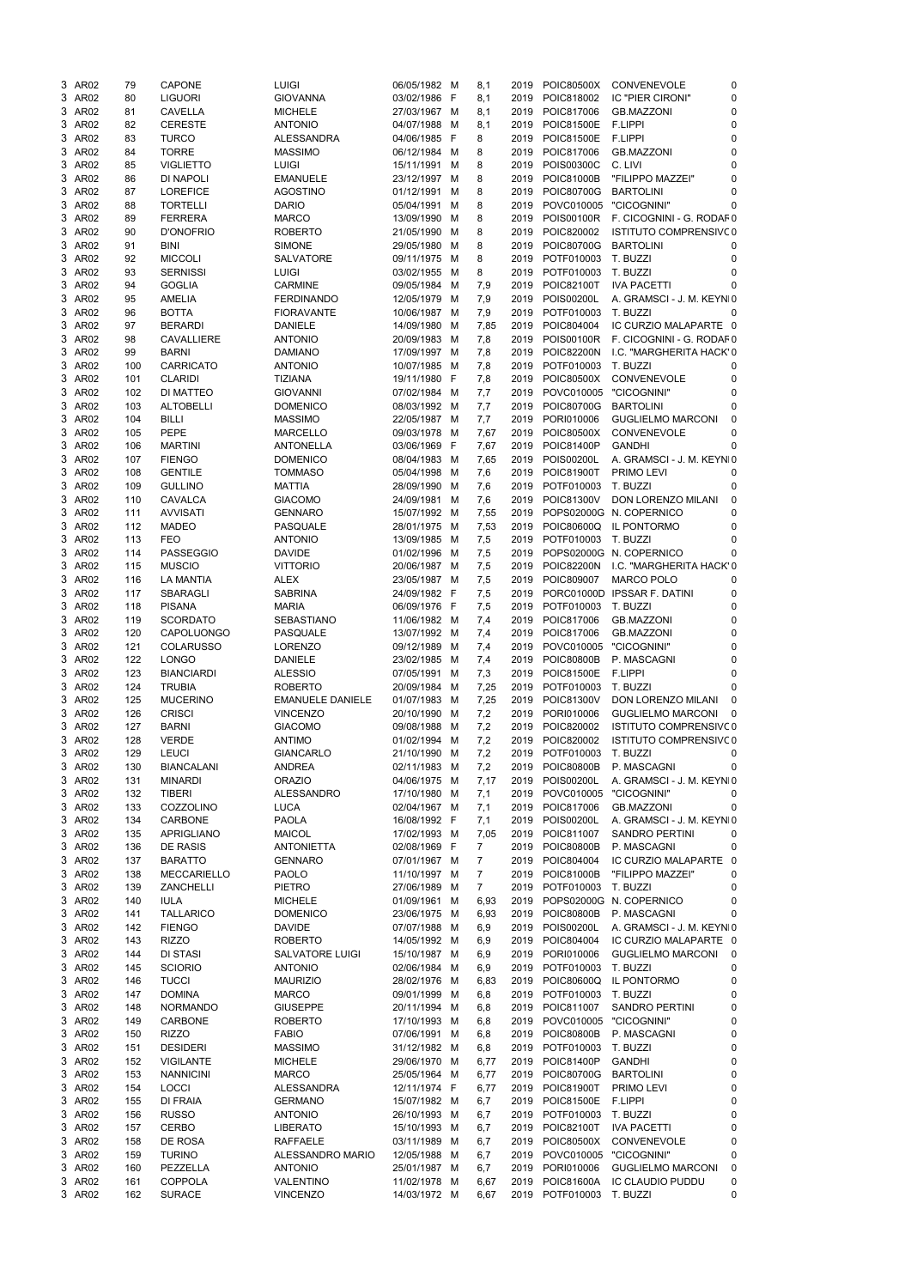|    |                  |     | CAPONE                          | <b>LUIGI</b>                 |                              |     |                |      |                               |                                     |          |
|----|------------------|-----|---------------------------------|------------------------------|------------------------------|-----|----------------|------|-------------------------------|-------------------------------------|----------|
|    | 3 AR02           | 79  |                                 |                              | 06/05/1982 M                 |     | 8,1            | 2019 | POIC80500X                    | <b>CONVENEVOLE</b>                  | 0        |
|    | 3 AR02           | 80  | <b>LIGUORI</b>                  | <b>GIOVANNA</b>              | 03/02/1986 F                 |     | 8,1            | 2019 | POIC818002                    | <b>IC "PIER CIRONI"</b>             | 0        |
|    | 3 AR02           | 81  | <b>CAVELLA</b>                  | <b>MICHELE</b>               | 27/03/1967 M                 |     | 8,1            | 2019 | POIC817006                    | <b>GB.MAZZONI</b>                   | 0        |
| 3. | AR02             | 82  | <b>CERESTE</b>                  | <b>ANTONIO</b>               | 04/07/1988                   | M   | 8,1            | 2019 | POIC81500E                    | <b>F.LIPPI</b>                      | 0        |
| 3. | AR02             | 83  | <b>TURCO</b>                    | <b>ALESSANDRA</b>            | 04/06/1985                   | - F | 8              | 2019 | POIC81500E                    | <b>F.LIPPI</b>                      | 0        |
|    |                  |     |                                 |                              |                              |     |                |      |                               |                                     |          |
| 3. | AR02             | 84  | <b>TORRE</b>                    | <b>MASSIMO</b>               | 06/12/1984                   | M   | 8              | 2019 | POIC817006                    | <b>GB.MAZZONI</b>                   | 0        |
| 3. | AR02             | 85  | <b>VIGLIETTO</b>                | <b>LUIGI</b>                 | 15/11/1991                   | M   | 8              | 2019 | POIS00300C                    | C. LIVI                             | 0        |
| 3. | AR02             | 86  | DI NAPOLI                       | <b>EMANUELE</b>              | 23/12/1997                   | M   | 8              | 2019 | <b>POIC81000B</b>             | "FILIPPO MAZZEI"                    | 0        |
|    | 3 AR02           | 87  | <b>LOREFICE</b>                 | <b>AGOSTINO</b>              | 01/12/1991                   | M   | 8              | 2019 | POIC80700G                    | <b>BARTOLINI</b>                    | 0        |
|    |                  |     |                                 |                              |                              |     |                |      |                               |                                     |          |
|    | 3 AR02           | 88  | <b>TORTELLI</b>                 | <b>DARIO</b>                 | 05/04/1991                   | M   | 8              | 2019 | POVC010005                    | "CICOGNINI"                         | 0        |
|    | 3 AR02           | 89  | <b>FERRERA</b>                  | <b>MARCO</b>                 | 13/09/1990                   | M   | 8              | 2019 | POIS00100R                    | F. CICOGNINI - G. RODAF0            |          |
|    | 3 AR02           | 90  | <b>D'ONOFRIO</b>                | <b>ROBERTO</b>               | 21/05/1990 M                 |     | 8              | 2019 | POIC820002                    | ISTITUTO COMPRENSIVC0               |          |
|    | 3 AR02           | 91  | <b>BINI</b>                     | <b>SIMONE</b>                | 29/05/1980 M                 |     | 8              | 2019 | POIC80700G                    | <b>BARTOLINI</b>                    | 0        |
|    |                  |     |                                 |                              |                              |     |                |      |                               |                                     |          |
|    | 3 AR02           | 92  | <b>MICCOLI</b>                  | <b>SALVATORE</b>             | 09/11/1975                   | M   | 8              | 2019 | POTF010003                    | T. BUZZI                            | 0        |
| 3. | AR02             | 93  | <b>SERNISSI</b>                 | <b>LUIGI</b>                 | 03/02/1955                   | M   | 8              | 2019 | POTF010003                    | T. BUZZI                            | 0        |
| 3. | AR02             | 94  | <b>GOGLIA</b>                   | <b>CARMINE</b>               | 09/05/1984                   | M   | 7,9            | 2019 | POIC82100T                    | <b>IVA PACETTI</b>                  | 0        |
| 3. | AR <sub>02</sub> | 95  | <b>AMELIA</b>                   | <b>FERDINANDO</b>            | 12/05/1979 M                 |     | 7,9            | 2019 | POIS00200L                    | A. GRAMSCI - J. M. KEYNI0           |          |
|    |                  |     |                                 |                              |                              |     |                |      |                               |                                     |          |
| 3. | AR02             | 96  | <b>BOTTA</b>                    | <b>FIORAVANTE</b>            | 10/06/1987 M                 |     | 7,9            | 2019 | POTF010003                    | T. BUZZI                            | 0        |
|    | 3 AR02           | 97  | <b>BERARDI</b>                  | <b>DANIELE</b>               | 14/09/1980 M                 |     | 7,85           | 2019 | POIC804004                    | IC CURZIO MALAPARTE 0               |          |
| 3. | AR02             | 98  | <b>CAVALLIERE</b>               | <b>ANTONIO</b>               | 20/09/1983                   | M   | 7,8            | 2019 | POIS00100R                    | F. CICOGNINI - G. RODAF0            |          |
| 3. | AR02             | 99  | <b>BARNI</b>                    | <b>DAMIANO</b>               | 17/09/1997 M                 |     | 7,8            | 2019 | <b>POIC82200N</b>             | I.C. "MARGHERITA HACK' 0            |          |
|    |                  |     |                                 |                              |                              |     |                |      |                               |                                     |          |
|    | 3 AR02           | 100 | <b>CARRICATO</b>                | <b>ANTONIO</b>               | 10/07/1985                   | M   | 7,8            | 2019 | POTF010003                    | T. BUZZI                            | 0        |
| 3. | AR02             | 101 | <b>CLARIDI</b>                  | <b>TIZIANA</b>               | 19/11/1980                   | - F | 7,8            | 2019 | POIC80500X                    | CONVENEVOLE                         | 0        |
|    | 3 AR02           | 102 | DI MATTEO                       | <b>GIOVANNI</b>              | 07/02/1984                   | M   | 7,7            | 2019 | POVC010005                    | "CICOGNINI"                         | 0        |
|    | 3 AR02           | 103 | <b>ALTOBELLI</b>                | <b>DOMENICO</b>              | 08/03/1992 M                 |     | 7,7            | 2019 | POIC80700G                    | <b>BARTOLINI</b>                    | 0        |
|    |                  |     |                                 |                              |                              |     |                |      |                               |                                     |          |
|    | 3 AR02           | 104 | <b>BILLI</b>                    | <b>MASSIMO</b>               | 22/05/1987 M                 |     | 7,7            | 2019 | PORI010006                    | <b>GUGLIELMO MARCONI</b>            | $\Omega$ |
|    | 3 AR02           | 105 | <b>PEPE</b>                     | <b>MARCELLO</b>              | 09/03/1978                   | M   | 7,67           | 2019 | POIC80500X                    | <b>CONVENEVOLE</b>                  | 0        |
|    | 3 AR02           | 106 | <b>MARTINI</b>                  | <b>ANTONELLA</b>             | 03/06/1969 F                 |     | 7,67           | 2019 | POIC81400P                    | <b>GANDHI</b>                       | 0        |
|    | 3 AR02           | 107 | <b>FIENGO</b>                   | <b>DOMENICO</b>              | 08/04/1983 M                 |     | 7,65           | 2019 | POIS00200L                    | A. GRAMSCI - J. M. KEYNI0           |          |
|    |                  |     |                                 |                              |                              |     |                |      |                               |                                     |          |
|    | 3 AR02           | 108 | <b>GENTILE</b>                  | <b>TOMMASO</b>               | 05/04/1998                   | M   | 7,6            | 2019 | <b>POIC81900T</b>             | PRIMO LEVI                          | 0        |
|    | 3 AR02           | 109 | <b>GULLINO</b>                  | <b>MATTIA</b>                | 28/09/1990                   | M   | 7,6            | 2019 | POTF010003                    | T. BUZZI                            | 0        |
|    | 3 AR02           | 110 | CAVALCA                         | <b>GIACOMO</b>               | 24/09/1981                   | M   | 7,6            | 2019 | POIC81300V                    | DON LORENZO MILANI                  | 0        |
| 3. |                  |     |                                 | <b>GENNARO</b>               |                              |     |                |      |                               |                                     | 0        |
|    | AR02             | 111 | <b>AVVISATI</b>                 |                              | 15/07/1992 M                 |     | 7,55           | 2019 |                               | POPS02000G N. COPERNICO             |          |
| 3. | AR02             | 112 | <b>MADEO</b>                    | <b>PASQUALE</b>              | 28/01/1975                   | M   | 7,53           | 2019 | POIC80600Q                    | IL PONTORMO                         | 0        |
| 3  | AR <sub>02</sub> | 113 | <b>FEO</b>                      | <b>ANTONIO</b>               | 13/09/1985                   | M   | 7,5            | 2019 | POTF010003                    | T. BUZZI                            | 0        |
|    | 3 AR02           | 114 | <b>PASSEGGIO</b>                | <b>DAVIDE</b>                | 01/02/1996 M                 |     | 7,5            | 2019 |                               | POPS02000G N. COPERNICO             | 0        |
|    | 3 AR02           | 115 | <b>MUSCIO</b>                   | <b>VITTORIO</b>              |                              |     |                |      | <b>POIC82200N</b>             | I.C. "MARGHERITA HACK' 0            |          |
|    |                  |     |                                 |                              | 20/06/1987 M                 |     | 7,5            | 2019 |                               |                                     |          |
|    | 3 AR02           | 116 | <b>LA MANTIA</b>                | <b>ALEX</b>                  | 23/05/1987 M                 |     | 7,5            | 2019 | POIC809007                    | <b>MARCO POLO</b>                   | 0        |
|    | 3 AR02           | 117 | <b>SBARAGLI</b>                 | <b>SABRINA</b>               | 24/09/1982 F                 |     | 7,5            | 2019 |                               | PORC01000D IPSSAR F. DATINI         | 0        |
|    | 3 AR02           | 118 | <b>PISANA</b>                   | <b>MARIA</b>                 | 06/09/1976 F                 |     | 7,5            | 2019 | POTF010003                    | T. BUZZI                            | 0        |
|    | 3 AR02           |     |                                 |                              |                              |     |                |      |                               |                                     | 0        |
|    |                  | 119 | <b>SCORDATO</b>                 | <b>SEBASTIANO</b>            | 11/06/1982 M                 |     | 7,4            | 2019 | POIC817006                    | <b>GB.MAZZONI</b>                   |          |
|    | 3 AR02           | 120 | <b>CAPOLUONGO</b>               | PASQUALE                     | 13/07/1992 M                 |     | 7,4            | 2019 | POIC817006                    | <b>GB.MAZZONI</b>                   | 0        |
|    | 3 AR02           | 121 | <b>COLARUSSO</b>                | <b>LORENZO</b>               | 09/12/1989 M                 |     | 7,4            | 2019 | POVC010005                    | "CICOGNINI"                         | 0        |
|    | 3 AR02           | 122 | <b>LONGO</b>                    | <b>DANIELE</b>               | 23/02/1985 M                 |     | 7,4            | 2019 | <b>POIC80800B</b>             | P. MASCAGNI                         | $\Omega$ |
|    |                  |     |                                 |                              |                              |     |                |      |                               |                                     |          |
|    | 3 AR02           | 123 | <b>BIANCIARDI</b>               | <b>ALESSIO</b>               | 07/05/1991 M                 |     | 7,3            | 2019 | POIC81500E                    | F.LIPPI                             | O        |
|    | 3 AR02           | 124 | <b>TRUBIA</b>                   | <b>ROBERTO</b>               | 20/09/1984 M                 |     | 7,25           | 2019 | POTF010003                    | T. BUZZI                            | 0        |
|    | 3 AR02           | 125 | <b>MUCERINO</b>                 | <b>EMANUELE DANIELE</b>      | 01/07/1983 M                 |     | 7,25           | 2019 | POIC81300V                    | DON LORENZO MILANI                  | 0        |
|    | 3 AR02           | 126 | <b>CRISCI</b>                   | <b>VINCENZO</b>              | 20/10/1990 M                 |     | 7,2            | 2019 | PORI010006                    | <b>GUGLIELMO MARCONI</b>            | $\Omega$ |
|    |                  |     |                                 |                              |                              |     |                |      |                               |                                     |          |
| 3. | AR02             | 127 | <b>BARNI</b>                    | <b>GIACOMO</b>               | 09/08/1988 M                 |     | 7,2            | 2019 | POIC820002                    | ISTITUTO COMPRENSIVC0               |          |
|    | 3 AR02           | 128 | <b>VERDE</b>                    | <b>ANTIMO</b>                | 01/02/1994 M                 |     | 7,2            | 2019 | POIC820002                    | ISTITUTO COMPRENSIVC0               |          |
|    | 3 AR02           | 129 | <b>LEUCI</b>                    | <b>GIANCARLO</b>             | 21/10/1990 M                 |     | 7,2            | 2019 | POTF010003                    | T. BUZZI                            | 0        |
|    | 3 AR02           | 130 | <b>BIANCALANI</b>               | <b>ANDREA</b>                | 02/11/1983 M                 |     | 7,2            | 2019 | <b>POIC80800B</b>             | P. MASCAGNI                         | 0        |
|    |                  |     |                                 |                              |                              |     |                |      |                               |                                     |          |
|    | 3 AR02           | 131 | <b>MINARDI</b>                  | <b>ORAZIO</b>                | 04/06/1975 M                 |     | 7,17           | 2019 | POIS00200L                    | A. GRAMSCI - J. M. KEYNI0           |          |
|    | 3 AR02           | 132 | <b>TIBERI</b>                   | <b>ALESSANDRO</b>            | 17/10/1980 M                 |     | 7,1            | 2019 | POVC010005                    | "CICOGNINI"                         | 0        |
|    | 3 AR02           | 133 | COZZOLINO                       | <b>LUCA</b>                  | 02/04/1967 M                 |     | 7,1            | 2019 | POIC817006                    | <b>GB.MAZZONI</b>                   | 0        |
|    | 3 AR02           | 134 | CARBONE                         | <b>PAOLA</b>                 | 16/08/1992 F                 |     | 7,1            | 2019 | <b>POIS00200L</b>             | A. GRAMSCI - J. M. KEYNI0           |          |
| 3  |                  |     |                                 |                              |                              |     |                |      |                               |                                     |          |
|    | AR02             | 135 | APRIGLIANO                      | <b>MAICOL</b>                | 17/02/1993 M                 |     |                |      |                               |                                     |          |
| 3. | AR02             | 136 |                                 |                              |                              |     | 7,05           | 2019 | POIC811007                    | <b>SANDRO PERTINI</b>               | 0        |
|    | 3 AR02           |     | <b>DE RASIS</b>                 | <b>ANTONIETTA</b>            | 02/08/1969 F                 |     | 7              | 2019 | <b>POIC80800B</b>             | P. MASCAGNI                         | 0        |
|    |                  | 137 | <b>BARATTO</b>                  | <b>GENNARO</b>               | 07/01/1967 M                 |     | $\overline{7}$ | 2019 | POIC804004                    | IC CURZIO MALAPARTE                 | 0        |
|    |                  |     | <b>MECCARIELLO</b>              | <b>PAOLO</b>                 | 11/10/1997 M                 |     | 7              | 2019 | POIC81000B                    | "FILIPPO MAZZEI"                    | 0        |
|    | 3 AR02           | 138 |                                 |                              |                              |     |                |      |                               |                                     |          |
|    | 3 AR02           | 139 | <b>ZANCHELLI</b>                | <b>PIETRO</b>                | 27/06/1989 M                 |     | 7              | 2019 | POTF010003                    | T. BUZZI                            | 0        |
|    | 3 AR02           | 140 | <b>IULA</b>                     | <b>MICHELE</b>               | 01/09/1961 M                 |     | 6,93           | 2019 |                               | POPS02000G N. COPERNICO             | 0        |
|    | 3 AR02           | 141 | <b>TALLARICO</b>                | <b>DOMENICO</b>              | 23/06/1975 M                 |     | 6,93           | 2019 | <b>POIC80800B</b>             | P. MASCAGNI                         | 0        |
|    |                  | 142 | <b>FIENGO</b>                   | <b>DAVIDE</b>                | 07/07/1988 M                 |     |                | 2019 | POIS00200L                    | A. GRAMSCI - J. M. KEYNI0           |          |
|    | 3 AR02           |     |                                 |                              |                              |     | 6,9            |      |                               |                                     |          |
|    | 3 AR02           | 143 | <b>RIZZO</b>                    | <b>ROBERTO</b>               | 14/05/1992 M                 |     | 6,9            | 2019 | POIC804004                    | IC CURZIO MALAPARTE 0               |          |
| 3. | AR02             | 144 | <b>DI STASI</b>                 | <b>SALVATORE LUIGI</b>       | 15/10/1987 M                 |     | 6,9            | 2019 | PORI010006                    | <b>GUGLIELMO MARCONI</b>            | 0        |
| 3. | AR02             | 145 | <b>SCIORIO</b>                  | <b>ANTONIO</b>               | 02/06/1984 M                 |     | 6,9            | 2019 | POTF010003                    | T. BUZZI                            | 0        |
|    | 3 AR02           | 146 | <b>TUCCI</b>                    | <b>MAURIZIO</b>              | 28/02/1976 M                 |     | 6,83           | 2019 | POIC80600Q                    | IL PONTORMO                         | 0        |
|    |                  |     |                                 |                              |                              |     |                |      |                               |                                     |          |
|    | 3 AR02           | 147 | <b>DOMINA</b>                   | <b>MARCO</b>                 | 09/01/1999 M                 |     | 6,8            | 2019 | POTF010003                    | T. BUZZI                            | 0        |
|    | 3 AR02           | 148 | <b>NORMANDO</b>                 | <b>GIUSEPPE</b>              | 20/11/1994 M                 |     | 6,8            | 2019 | POIC811007                    | <b>SANDRO PERTINI</b>               | 0        |
|    | 3 AR02           | 149 | CARBONE                         | <b>ROBERTO</b>               | 17/10/1993 M                 |     | 6,8            | 2019 | POVC010005                    | "CICOGNINI"                         | 0        |
|    | 3 AR02           | 150 | <b>RIZZO</b>                    | <b>FABIO</b>                 | 07/06/1991 M                 |     | 6,8            |      | 2019 POIC80800B               | P. MASCAGNI                         | 0        |
|    |                  |     |                                 |                              |                              |     |                |      |                               |                                     |          |
|    | 3 AR02           | 151 | <b>DESIDERI</b>                 | <b>MASSIMO</b>               | 31/12/1982 M                 |     | 6,8            |      | 2019 POTF010003 T. BUZZI      |                                     | 0        |
|    | 3 AR02           | 152 | <b>VIGILANTE</b>                | <b>MICHELE</b>               | 29/06/1970 M                 |     | 6,77           | 2019 | <b>POIC81400P</b>             | <b>GANDHI</b>                       | 0        |
|    | 3 AR02           | 153 | <b>NANNICINI</b>                | <b>MARCO</b>                 | 25/05/1964 M                 |     | 6,77           | 2019 | POIC80700G                    | <b>BARTOLINI</b>                    | 0        |
|    | 3 AR02           | 154 | <b>LOCCI</b>                    | <b>ALESSANDRA</b>            | 12/11/1974 F                 |     | 6,77           | 2019 | POIC81900T                    | <b>PRIMO LEVI</b>                   | 0        |
|    |                  |     |                                 |                              |                              |     |                |      |                               |                                     |          |
|    | 3 AR02           | 155 | DI FRAIA                        | <b>GERMANO</b>               | 15/07/1982 M                 |     | 6,7            | 2019 | <b>POIC81500E</b>             | F.LIPPI                             | 0        |
|    | 3 AR02           | 156 | <b>RUSSO</b>                    | <b>ANTONIO</b>               | 26/10/1993 M                 |     | 6,7            | 2019 | POTF010003                    | T. BUZZI                            | 0        |
|    | 3 AR02           | 157 | <b>CERBO</b>                    | <b>LIBERATO</b>              | 15/10/1993 M                 |     | 6,7            | 2019 | POIC82100T                    | <b>IVA PACETTI</b>                  | 0        |
|    | 3 AR02           | 158 | DE ROSA                         | RAFFAELE                     | 03/11/1989 M                 |     | 6,7            | 2019 | POIC80500X                    | CONVENEVOLE                         | 0        |
|    |                  |     |                                 |                              |                              |     |                |      |                               |                                     |          |
|    | 3 AR02           | 159 | <b>TURINO</b>                   | ALESSANDRO MARIO             | 12/05/1988 M                 |     | 6,7            | 2019 | POVC010005                    | "CICOGNINI"                         | 0        |
|    | 3 AR02           | 160 | PEZZELLA                        | <b>ANTONIO</b>               | 25/01/1987 M                 |     | 6,7            | 2019 | PORI010006                    | <b>GUGLIELMO MARCONI</b>            | 0        |
|    | 3 AR02<br>3 AR02 | 161 | <b>COPPOLA</b><br><b>SURACE</b> | VALENTINO<br><b>VINCENZO</b> | 11/02/1978 M<br>14/03/1972 M |     | 6,67           | 2019 | POIC81600A<br>2019 POTF010003 | <b>IC CLAUDIO PUDDU</b><br>T. BUZZI | 0        |